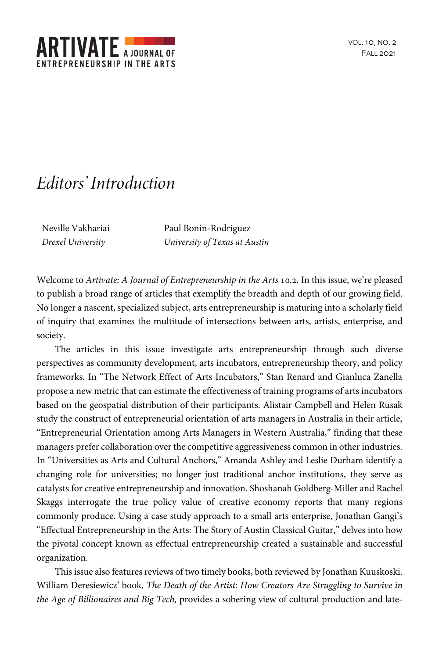

## *Editors' Introduction*

Neville Vakhariai *Drexel University*

Paul Bonin-Rodriguez *University of Texas at Austin*

Welcome to *Artivate: A Journal of Entrepreneurship in the Arts* 10.2. In this issue, we're pleased to publish a broad range of articles that exemplify the breadth and depth of our growing field. No longer a nascent, specialized subject, arts entrepreneurship is maturing into a scholarly field of inquiry that examines the multitude of intersections between arts, artists, enterprise, and society.

The articles in this issue investigate arts entrepreneurship through such diverse perspectives as community development, arts incubators, entrepreneurship theory, and policy frameworks. In "The Network Effect of Arts Incubators," Stan Renard and Gianluca Zanella propose a new metric that can estimate the effectiveness of training programs of arts incubators based on the geospatial distribution of their participants. Alistair Campbell and Helen Rusak study the construct of entrepreneurial orientation of arts managers in Australia in their article, "Entrepreneurial Orientation among Arts Managers in Western Australia," finding that these managers prefer collaboration over the competitive aggressiveness common in other industries. In "Universities as Arts and Cultural Anchors," Amanda Ashley and Leslie Durham identify a changing role for universities; no longer just traditional anchor institutions, they serve as catalysts for creative entrepreneurship and innovation. Shoshanah Goldberg-Miller and Rachel Skaggs interrogate the true policy value of creative economy reports that many regions commonly produce. Using a case study approach to a small arts enterprise, Jonathan Gangi's "Effectual Entrepreneurship in the Arts: The Story of Austin Classical Guitar," delves into how the pivotal concept known as effectual entrepreneurship created a sustainable and successful organization.

This issue also features reviews of two timely books, both reviewed by Jonathan Kuuskoski. William Deresiewicz' book, *The Death of the Artist: How Creators Are Struggling to Survive in the Age of Billionaires and Big Tech,* provides a sobering view of cultural production and late-